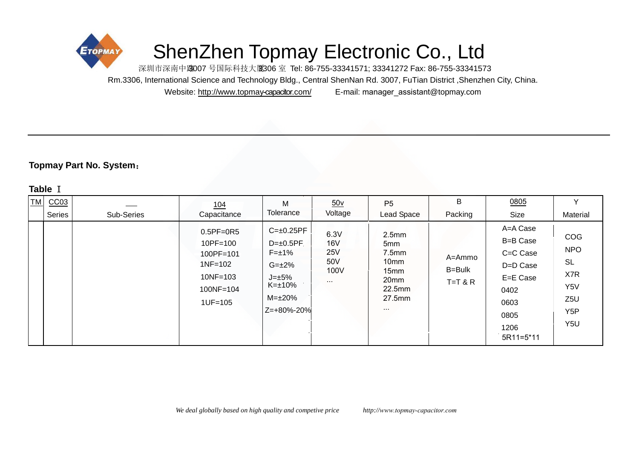

# ShenZhen Topmay Electronic Co., Ltd

深圳市深南中路007号国际科技大厦306室 Tel: 86-755-33341571; 33341272 Fax: 86-755-33341573 Rm.3306, International Science and Technology Bldg., Central ShenNan Rd. 3007, FuTian District ,Shenzhen City, China.

Website: http://w[ww.topmay](http://www.topmay.com/)-capacitor.com/ E-mail: manager\_assistant@topmay.com

# **Topmay Part No. System**:

## **Table** I

| <b>TM</b> | CC <sub>03</sub><br><b>Series</b> | Sub-Series | 104<br>Capacitance                                                                            | M<br>Tolerance                                                                                                           | $\underline{50v}$<br>Voltage                         | P <sub>5</sub><br>Lead Space                                                                                                  | B<br>Packing                  | 0805<br>Size                                                                                          | Material                                                                                               |
|-----------|-----------------------------------|------------|-----------------------------------------------------------------------------------------------|--------------------------------------------------------------------------------------------------------------------------|------------------------------------------------------|-------------------------------------------------------------------------------------------------------------------------------|-------------------------------|-------------------------------------------------------------------------------------------------------|--------------------------------------------------------------------------------------------------------|
|           |                                   |            | $0.5PF=0R5$<br>10PF=100<br>100PF=101<br>$1NF = 102$<br>$10NF = 103$<br>100NF=104<br>$1UF=105$ | $C=\pm 0.25PF$<br>$D=\pm 0.5PF$<br>$F=\pm 1\%$<br>$G = \pm 2\%$<br>$J=\pm 5\%$<br>K=±10%<br>$M = \pm 20\%$<br>Z=+80%-20% | 6.3V<br><b>16V</b><br>25V<br>50V<br>100V<br>$\cdots$ | 2.5mm<br>5 <sub>mm</sub><br>7.5mm<br>10 <sub>mm</sub><br>15 <sub>mm</sub><br>20 <sub>mm</sub><br>22.5mm<br>27.5mm<br>$\cdots$ | A=Ammo<br>B=Bulk<br>$T=T & R$ | A=A Case<br>B=B Case<br>C=C Case<br>D=D Case<br>E=E Case<br>0402<br>0603<br>0805<br>1206<br>5R11=5*11 | COG<br><b>NPO</b><br><b>SL</b><br>X7R<br>Y5V<br>Z <sub>5U</sub><br>Y <sub>5</sub> P<br>Y <sub>5U</sub> |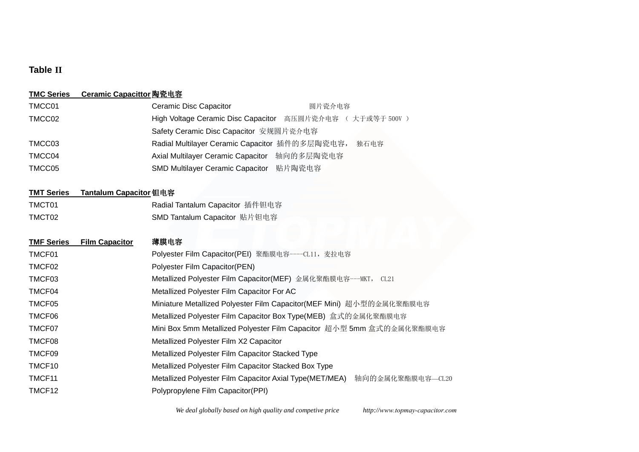## **Table II**

#### **TMC Series Ceramic Capacittor** 陶瓷电容

| TMCC01 | Ceramic Disc Capacitor                         | 圆片瓷介电容                                                    |
|--------|------------------------------------------------|-----------------------------------------------------------|
| TMCC02 |                                                | High Voltage Ceramic Disc Capacitor 高压圆片瓷介电容 (大于或等于 500V) |
|        | Safety Ceramic Disc Capacitor 安规圆片瓷介电容         |                                                           |
| TMCC03 | Radial Multilayer Ceramic Capacitor 插件的多层陶瓷电容, | 独石电容                                                      |
| TMCC04 | Axial Multilayer Ceramic Capacitor             | 轴向的多层陶瓷电容                                                 |
| TMCC05 | <b>SMD Multilayer Ceramic Capacitor</b>        | 贴片陶瓷电容                                                    |

#### **TMT Series Tantalum Capacitor** 钽电容

| TMCT01 | Radial Tantalum Capacitor 插件钽电容 |
|--------|---------------------------------|
| TMCT02 | SMD Tantalum Capacitor 贴片钽电容    |

# **TMF Series Film Capacitor** 薄膜电容 TMCF01 Polyester Film Capacitor(PEI) 聚酯膜电容----CL11, 麦拉电容 TMCF02 Polyester Film Capacitor(PEN) TMCF03 Metallized Polyester Film Capacitor(MEF) 金属化聚酯膜电容---MKT, CL21 TMCF04 Metallized Polyester Film Capacitor For AC TMCF05 **Miniature Metallized Polyester Film Capacitor(MEF Mini)** 超小型的金属化聚酯膜电容 TMCF06 Metallized Polyester Film Capacitor Box Type(MEB) 盒式的金属化聚酯膜电容 TMCF07 **Mini Box 5mm Metallized Polyester Film Capacitor** 超小型 5mm 盒式的金属化聚酯膜电容 TMCF08 Metallized Polyester Film X2 Capacitor TMCF09 Metallized Polyester Film Capacitor Stacked Type TMCF10 Metallized Polyester Film Capacitor Stacked Box Type TMCF11 **Metallized Polyester Film Capacitor Axial Type(MET/MEA)** 轴向的金属化聚酯膜电容—CL20 TMCF12 Polypropylene Film Capacitor(PPI)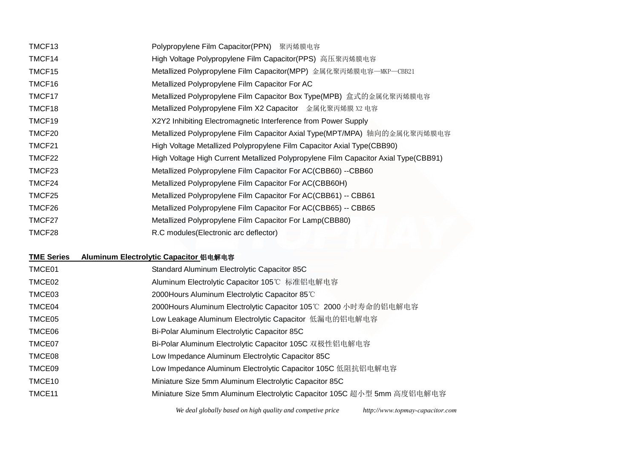| TMCF <sub>13</sub> | Polypropylene Film Capacitor(PPN) 聚丙烯膜电容                                            |
|--------------------|-------------------------------------------------------------------------------------|
| TMCF14             | High Voltage Polypropylene Film Capacitor(PPS) 高压聚丙烯膜电容                             |
| TMCF15             | Metallized Polypropylene Film Capacitor(MPP) 金属化聚丙烯膜电容—MKP—CBB21                    |
| TMCF16             | Metallized Polypropylene Film Capacitor For AC                                      |
| TMCF17             | Metallized Polypropylene Film Capacitor Box Type(MPB) 盒式的金属化聚丙烯膜电容                  |
| TMCF18             | Metallized Polypropylene Film X2 Capacitor 金属化聚丙烯膜 X2 电容                            |
| TMCF19             | X2Y2 Inhibiting Electromagnetic Interference from Power Supply                      |
| TMCF20             | Metallized Polypropylene Film Capacitor Axial Type(MPT/MPA) 轴向的金属化聚丙烯膜电容            |
| TMCF21             | High Voltage Metallized Polypropylene Film Capacitor Axial Type (CBB90)             |
| TMCF22             | High Voltage High Current Metallized Polypropylene Film Capacitor Axial Type(CBB91) |
| TMCF23             | Metallized Polypropylene Film Capacitor For AC(CBB60) --CBB60                       |
| TMCF24             | Metallized Polypropylene Film Capacitor For AC(CBB60H)                              |
| TMCF25             | Metallized Polypropylene Film Capacitor For AC(CBB61) -- CBB61                      |
| TMCF26             | Metallized Polypropylene Film Capacitor For AC(CBB65) -- CBB65                      |
| TMCF27             | Metallized Polypropylene Film Capacitor For Lamp(CBB80)                             |
| TMCF28             | R.C modules (Electronic arc deflector)                                              |

## **TME Series Aluminum Electrolytic Capacitor** 铝电解电容

| TMCE01             | Standard Aluminum Electrolytic Capacitor 85C                            |
|--------------------|-------------------------------------------------------------------------|
| TMCE02             | Aluminum Electrolytic Capacitor 105℃ 标准铝电解电容                            |
| TMCE03             | 2000 Hours Aluminum Electrolytic Capacitor 85°C                         |
| TMCE04             | 2000Hours Aluminum Electrolytic Capacitor 105℃ 2000 小时寿命的铝电解电容          |
| TMCE05             | Low Leakage Aluminum Electrolytic Capacitor 低漏电的铝电解电容                   |
| TMCE06             | Bi-Polar Aluminum Electrolytic Capacitor 85C                            |
| TMCE07             | Bi-Polar Aluminum Electrolytic Capacitor 105C 双极性铝电解电容                  |
| TMCE08             | Low Impedance Aluminum Electrolytic Capacitor 85C                       |
| TMCE09             | Low Impedance Aluminum Electrolytic Capacitor 105C 低阻抗铝电解电容             |
| TMCE <sub>10</sub> | Miniature Size 5mm Aluminum Electrolytic Capacitor 85C                  |
| TMCE <sub>11</sub> | Miniature Size 5mm Aluminum Electrolytic Capacitor 105C 超小型 5mm 高度铝电解电容 |

*We deal globally based on high quality and competive price http://www.topmay-capacitor.com*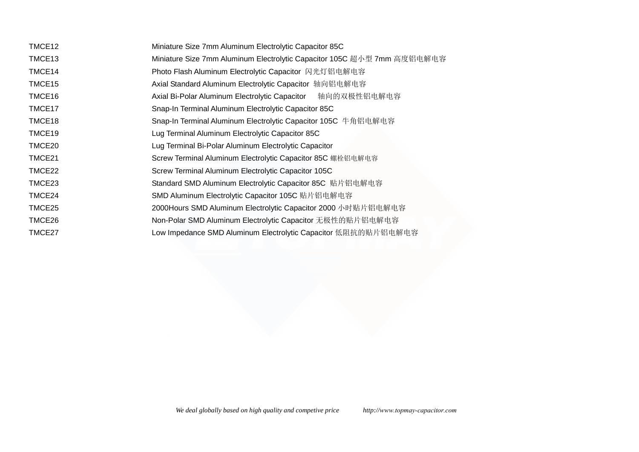| TMCE12 | Miniature Size 7mm Aluminum Electrolytic Capacitor 85C                  |
|--------|-------------------------------------------------------------------------|
| TMCE13 | Miniature Size 7mm Aluminum Electrolytic Capacitor 105C 超小型 7mm 高度铝电解电容 |
| TMCE14 | Photo Flash Aluminum Electrolytic Capacitor 闪光灯铝电解电容                    |
| TMCE15 | Axial Standard Aluminum Electrolytic Capacitor 轴向铝电解电容                  |
| TMCE16 | 轴向的双极性铝电解电容<br>Axial Bi-Polar Aluminum Electrolytic Capacitor           |
| TMCE17 | Snap-In Terminal Aluminum Electrolytic Capacitor 85C                    |
| TMCE18 | Snap-In Terminal Aluminum Electrolytic Capacitor 105C 牛角铝电解电容           |
| TMCE19 | Lug Terminal Aluminum Electrolytic Capacitor 85C                        |
| TMCE20 | Lug Terminal Bi-Polar Aluminum Electrolytic Capacitor                   |
| TMCE21 | Screw Terminal Aluminum Electrolytic Capacitor 85C 螺栓铝电解电容              |
| TMCE22 | Screw Terminal Aluminum Electrolytic Capacitor 105C                     |
| TMCE23 | Standard SMD Aluminum Electrolytic Capacitor 85C 贴片铝电解电容                |
| TMCE24 | SMD Aluminum Electrolytic Capacitor 105C 贴片铝电解电容                        |
| TMCE25 | 2000Hours SMD Aluminum Electrolytic Capacitor 2000 小时贴片铝电解电容            |
| TMCE26 | Non-Polar SMD Aluminum Electrolytic Capacitor 无极性的贴片铝电解电容               |
| TMCE27 | Low Impedance SMD Aluminum Electrolytic Capacitor 低阻抗的贴片铝电解电容           |
|        |                                                                         |
|        |                                                                         |
|        |                                                                         |
|        |                                                                         |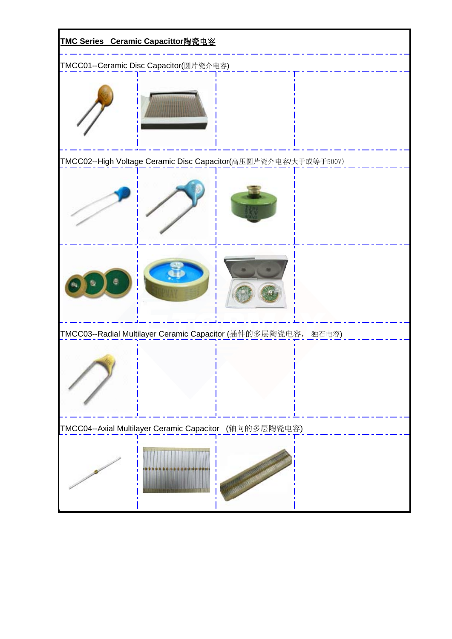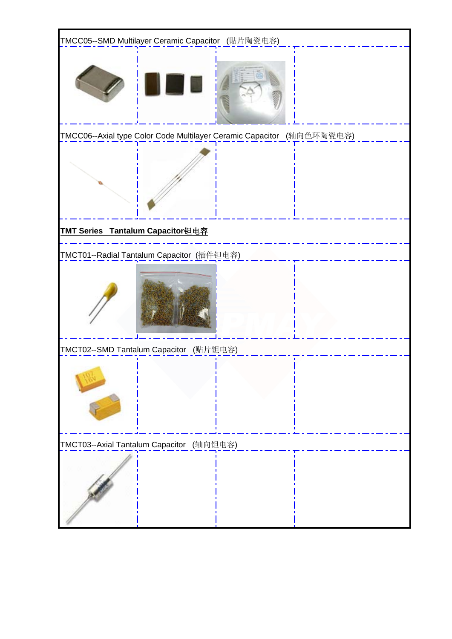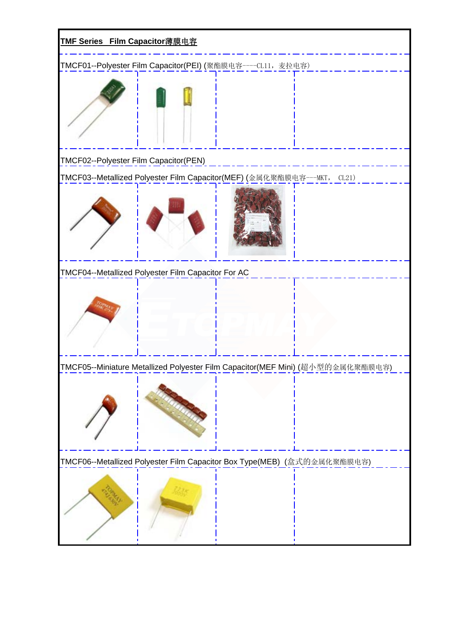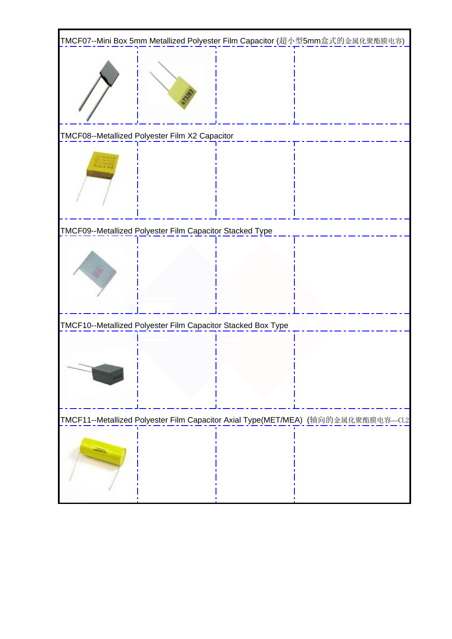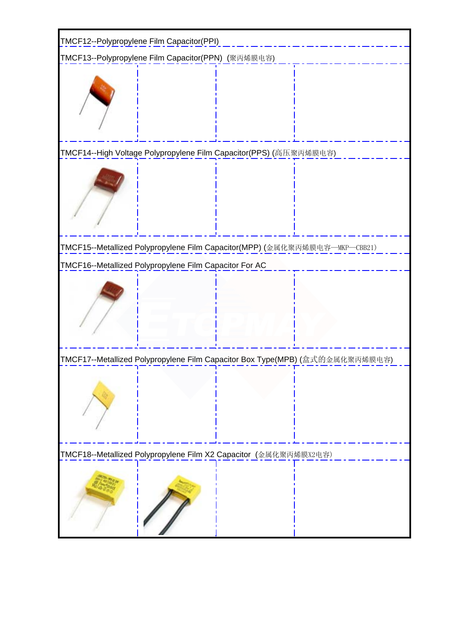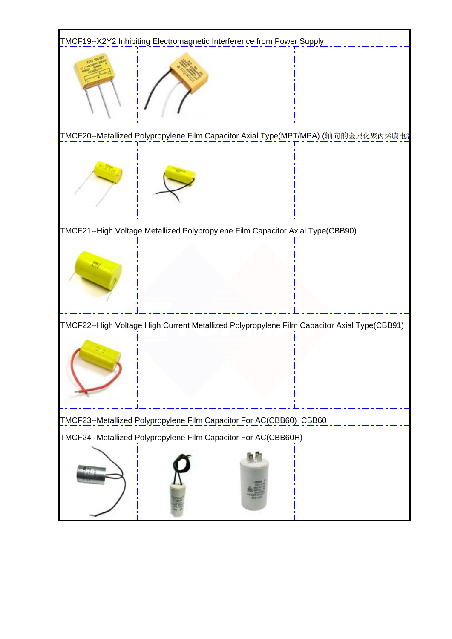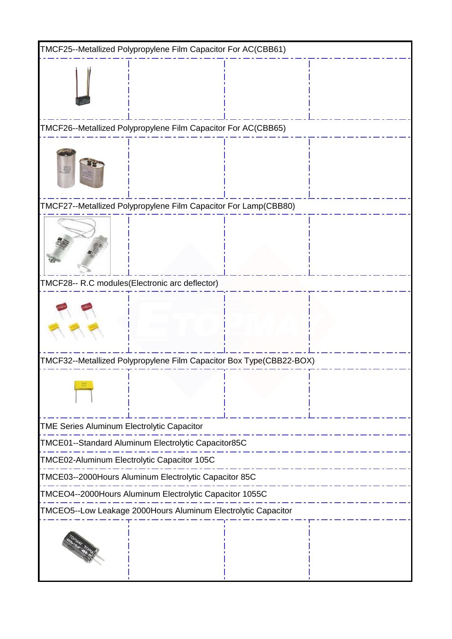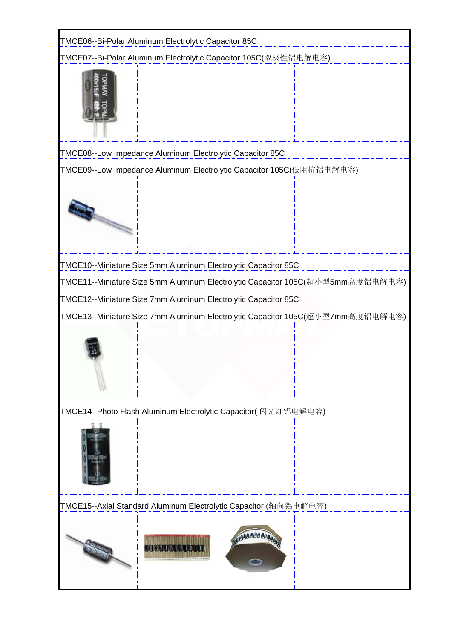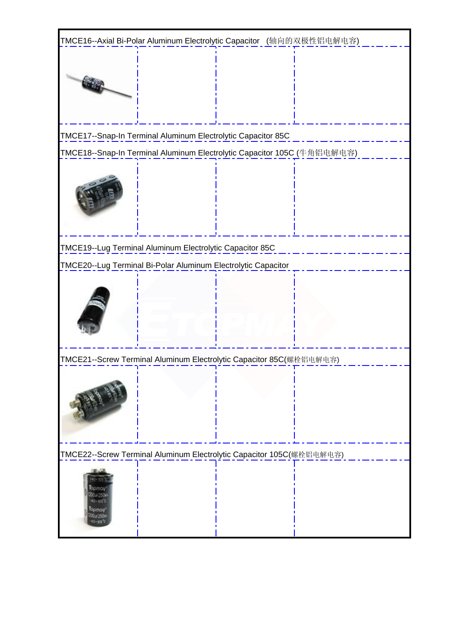